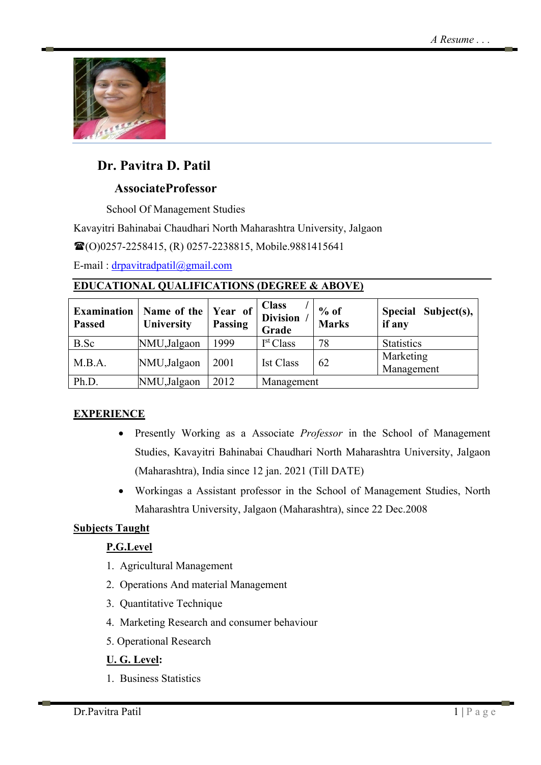

# **Dr. Pavitra D. Patil**

# **AssociateProfessor**

School Of Management Studies

Kavayitri Bahinabai Chaudhari North Maharashtra University, Jalgaon

(O)0257-2258415, (R) 0257-2238815, Mobile.9881415641

E-mail : [drpavitradpatil@gmail.com](mailto:drpavitradpatil@gmail.com)

## **EDUCATIONAL QUALIFICATIONS (DEGREE & ABOVE)**

| <b>Examination</b><br><b>Passed</b> | Name of the<br><b>University</b> | Year of<br><b>Passing</b> | <b>Class</b><br><b>Division</b><br>Grade | $%$ of<br><b>Marks</b> | <b>Special</b><br>Subject(s),<br>if any |
|-------------------------------------|----------------------------------|---------------------------|------------------------------------------|------------------------|-----------------------------------------|
| B.Sc                                | NMU,Jalgaon                      | 1999                      | I <sup>st</sup> Class                    | 78                     | <b>Statistics</b>                       |
| M.B.A.                              | NMU,Jalgaon                      | 2001                      | <b>Ist Class</b>                         | 62                     | Marketing<br>Management                 |
| Ph.D.                               | NMU,Jalgaon                      | 2012                      | Management                               |                        |                                         |

## **EXPERIENCE**

- Presently Working as a Associate *Professor* in the School of Management Studies, Kavayitri Bahinabai Chaudhari North Maharashtra University, Jalgaon (Maharashtra), India since 12 jan. 2021 (Till DATE)
- Workingas a Assistant professor in the School of Management Studies, North Maharashtra University, Jalgaon (Maharashtra), since 22 Dec.2008

# **Subjects Taught**

# **P.G.Level**

- 1. Agricultural Management
- 2. Operations And material Management
- 3. Quantitative Technique
- 4. Marketing Research and consumer behaviour
- 5. Operational Research

## **U. G. Level:**

1. Business Statistics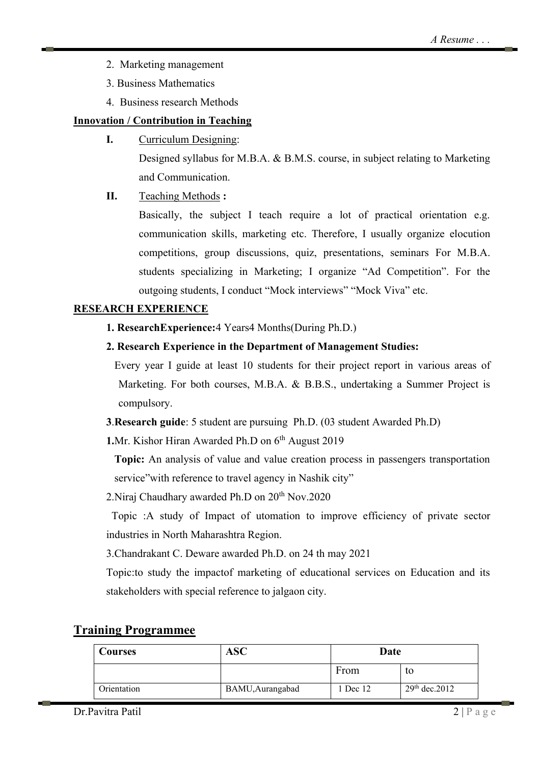- 2. Marketing management
- 3. Business Mathematics
- 4. Business research Methods

### **Innovation / Contribution in Teaching**

**I.** Curriculum Designing: Designed syllabus for M.B.A. & B.M.S. course, in subject relating to Marketing and Communication.

### **II.** Teaching Methods **:**

Basically, the subject I teach require a lot of practical orientation e.g. communication skills, marketing etc. Therefore, I usually organize elocution competitions, group discussions, quiz, presentations, seminars For M.B.A. students specializing in Marketing; I organize "Ad Competition". For the outgoing students, I conduct "Mock interviews" "Mock Viva" etc.

#### **RESEARCH EXPERIENCE**

**1. ResearchExperience:**4 Years4 Months(During Ph.D.)

### **2. Research Experience in the Department of Management Studies:**

Every year I guide at least 10 students for their project report in various areas of Marketing. For both courses, M.B.A. & B.B.S., undertaking a Summer Project is compulsory.

**3**.**Research guide**: 5 student are pursuing Ph.D. (03 student Awarded Ph.D)

1.Mr. Kishor Hiran Awarded Ph.D on 6<sup>th</sup> August 2019

**Topic:** An analysis of value and value creation process in passengers transportation service" with reference to travel agency in Nashik city"

2. Niraj Chaudhary awarded Ph.D on 20<sup>th</sup> Nov. 2020

 Topic :A study of Impact of utomation to improve efficiency of private sector industries in North Maharashtra Region.

3.Chandrakant C. Deware awarded Ph.D. on 24 th may 2021

Topic:to study the impactof marketing of educational services on Education and its stakeholders with special reference to jalgaon city.

| Courses     | <b>ASC</b>       | Date     |                  |
|-------------|------------------|----------|------------------|
|             |                  | From     | το               |
| Orientation | BAMU, Aurangabad | 1 Dec 12 | $29th$ dec. 2012 |

### **Training Programmee**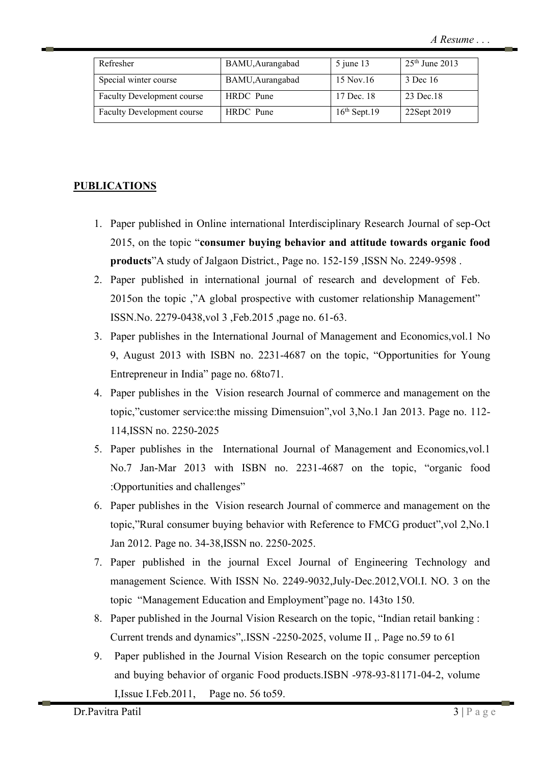| Refresher                         | BAMU, Aurangabad | $5$ june 13    | $25th$ June 2013 |
|-----------------------------------|------------------|----------------|------------------|
| Special winter course             | BAMU, Aurangabad | 15 Nov.16      | 3 Dec 16         |
| <b>Faculty Development course</b> | HRDC Pune        | 17 Dec. 18     | 23 Dec.18        |
| <b>Faculty Development course</b> | HRDC Pune        | $16th$ Sept.19 | 22Sept 2019      |

#### **PUBLICATIONS**

- 1. Paper published in Online international Interdisciplinary Research Journal of sep-Oct 2015, on the topic "**consumer buying behavior and attitude towards organic food products**"A study of Jalgaon District., Page no. 152-159 ,ISSN No. 2249-9598 .
- 2. Paper published in international journal of research and development of Feb. 2015on the topic ,"A global prospective with customer relationship Management" ISSN.No. 2279-0438,vol 3 ,Feb.2015 ,page no. 61-63.
- 3. Paper publishes in the International Journal of Management and Economics,vol.1 No 9, August 2013 with ISBN no. 2231-4687 on the topic, "Opportunities for Young Entrepreneur in India" page no. 68to71.
- 4. Paper publishes in the Vision research Journal of commerce and management on the topic,"customer service:the missing Dimensuion",vol 3,No.1 Jan 2013. Page no. 112- 114,ISSN no. 2250-2025
- 5. Paper publishes in the International Journal of Management and Economics,vol.1 No.7 Jan-Mar 2013 with ISBN no. 2231-4687 on the topic, "organic food :Opportunities and challenges"
- 6. Paper publishes in the Vision research Journal of commerce and management on the topic,"Rural consumer buying behavior with Reference to FMCG product",vol 2,No.1 Jan 2012. Page no. 34-38,ISSN no. 2250-2025.
- 7. Paper published in the journal Excel Journal of Engineering Technology and management Science. With ISSN No. 2249-9032,July-Dec.2012,VOl.I. NO. 3 on the topic "Management Education and Employment"page no. 143to 150.
- 8. Paper published in the Journal Vision Research on the topic, "Indian retail banking : Current trends and dynamics",.ISSN -2250-2025, volume II ,. Page no.59 to 61
- 9. Paper published in the Journal Vision Research on the topic consumer perception and buying behavior of organic Food products.ISBN -978-93-81171-04-2, volume I,Issue I.Feb.2011, Page no. 56 to59.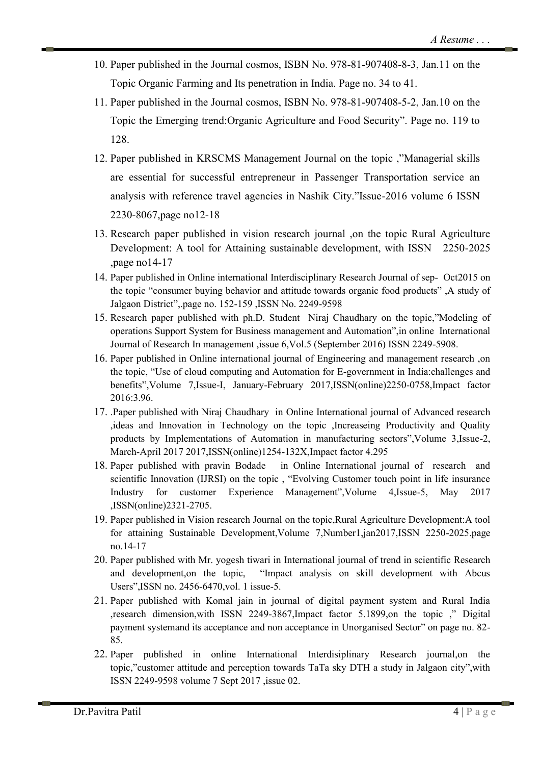- 10. Paper published in the Journal cosmos, ISBN No. 978-81-907408-8-3, Jan.11 on the Topic Organic Farming and Its penetration in India. Page no. 34 to 41.
- 11. Paper published in the Journal cosmos, ISBN No. 978-81-907408-5-2, Jan.10 on the Topic the Emerging trend:Organic Agriculture and Food Security". Page no. 119 to 128.
- 12. Paper published in KRSCMS Management Journal on the topic ,"Managerial skills are essential for successful entrepreneur in Passenger Transportation service an analysis with reference travel agencies in Nashik City."Issue-2016 volume 6 ISSN 2230-8067,page no12-18
- 13. Research paper published in vision research journal ,on the topic Rural Agriculture Development: A tool for Attaining sustainable development, with ISSN 2250-2025 ,page no14-17
- 14. Paper published in Online international Interdisciplinary Research Journal of sep- Oct2015 on the topic "consumer buying behavior and attitude towards organic food products" ,A study of Jalgaon District",.page no. 152-159 ,ISSN No. 2249-9598
- 15. Research paper published with ph.D. Student Niraj Chaudhary on the topic,"Modeling of operations Support System for Business management and Automation",in online International Journal of Research In management ,issue 6,Vol.5 (September 2016) ISSN 2249-5908.
- 16. Paper published in Online international journal of Engineering and management research ,on the topic, "Use of cloud computing and Automation for E-government in India:challenges and benefits",Volume 7,Issue-I, January-February 2017,ISSN(online)2250-0758,Impact factor 2016:3.96.
- 17. .Paper published with Niraj Chaudhary in Online International journal of Advanced research ,ideas and Innovation in Technology on the topic ,Increaseing Productivity and Quality products by Implementations of Automation in manufacturing sectors",Volume 3,Issue-2, March-April 2017 2017,ISSN(online)1254-132X,Impact factor 4.295
- 18. Paper published with pravin Bodade in Online International journal of research and scientific Innovation (IJRSI) on the topic , "Evolving Customer touch point in life insurance Industry for customer Experience Management",Volume 4,Issue-5, May 2017 ,ISSN(online)2321-2705.
- 19. Paper published in Vision research Journal on the topic,Rural Agriculture Development:A tool for attaining Sustainable Development,Volume 7,Number1,jan2017,ISSN 2250-2025.page no.14-17
- 20. Paper published with Mr. yogesh tiwari in International journal of trend in scientific Research and development,on the topic, "Impact analysis on skill development with Abcus Users",ISSN no. 2456-6470,vol. 1 issue-5.
- 21. Paper published with Komal jain in journal of digital payment system and Rural India ,research dimension,with ISSN 2249-3867,Impact factor 5.1899,on the topic ," Digital payment systemand its acceptance and non acceptance in Unorganised Sector" on page no. 82- 85.
- 22. Paper published in online International Interdisiplinary Research journal,on the topic,"customer attitude and perception towards TaTa sky DTH a study in Jalgaon city",with ISSN 2249-9598 volume 7 Sept 2017 ,issue 02.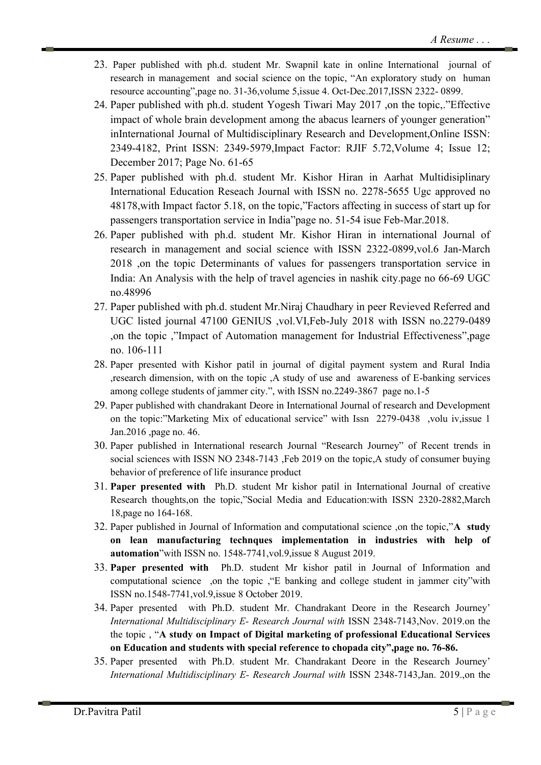- 23. Paper published with ph.d. student Mr. Swapnil kate in online International journal of research in management and social science on the topic, "An exploratory study on human resource accounting",page no. 31-36,volume 5,issue 4. Oct-Dec.2017,ISSN 2322- 0899.
- 24. Paper published with ph.d. student Yogesh Tiwari May 2017 ,on the topic,."Effective impact of whole brain development among the abacus learners of younger generation" inInternational Journal of Multidisciplinary Research and Development,Online ISSN: 2349-4182, Print ISSN: 2349-5979,Impact Factor: RJIF 5.72,Volume 4; Issue 12; December 2017; Page No. 61-65
- 25. Paper published with ph.d. student Mr. Kishor Hiran in Aarhat Multidisiplinary International Education Reseach Journal with ISSN no. 2278-5655 Ugc approved no 48178,with Impact factor 5.18, on the topic,"Factors affecting in success of start up for passengers transportation service in India"page no. 51-54 isue Feb-Mar.2018.
- 26. Paper published with ph.d. student Mr. Kishor Hiran in international Journal of research in management and social science with ISSN 2322-0899,vol.6 Jan-March 2018 ,on the topic Determinants of values for passengers transportation service in India: An Analysis with the help of travel agencies in nashik city.page no 66-69 UGC no.48996
- 27. Paper published with ph.d. student Mr.Niraj Chaudhary in peer Revieved Referred and UGC listed journal 47100 GENIUS ,vol.VI,Feb-July 2018 with ISSN no.2279-0489 ,on the topic ,"Impact of Automation management for Industrial Effectiveness",page no. 106-111
- 28. Paper presented with Kishor patil in journal of digital payment system and Rural India ,research dimension, with on the topic ,A study of use and awareness of E-banking services among college students of jammer city.", with ISSN no.2249-3867 page no.1-5
- 29. Paper published with chandrakant Deore in International Journal of research and Development on the topic:"Marketing Mix of educational service" with Issn 2279-0438 ,volu iv,issue 1 Jan.2016 ,page no. 46.
- 30. Paper published in International research Journal "Research Journey" of Recent trends in social sciences with ISSN NO 2348-7143 ,Feb 2019 on the topic,A study of consumer buying behavior of preference of life insurance product
- 31. **Paper presented with** Ph.D. student Mr kishor patil in International Journal of creative Research thoughts,on the topic,"Social Media and Education:with ISSN 2320-2882,March 18,page no 164-168.
- 32. Paper published in Journal of Information and computational science ,on the topic,"**A study on lean manufacturing technques implementation in industries with help of automation**"with ISSN no. 1548-7741,vol.9,issue 8 August 2019.
- 33. **Paper presented with** Ph.D. student Mr kishor patil in Journal of Information and computational science ,on the topic ,"E banking and college student in jammer city"with ISSN no.1548-7741,vol.9,issue 8 October 2019.
- 34. Paper presented with Ph.D. student Mr. Chandrakant Deore in the Research Journey' *International Multidisciplinary E- Research Journal with* ISSN 2348-7143,Nov. 2019.on the the topic , "**A study on Impact of Digital marketing of professional Educational Services on Education and students with special reference to chopada city",page no. 76-86.**
- 35. Paper presented with Ph.D. student Mr. Chandrakant Deore in the Research Journey' *International Multidisciplinary E- Research Journal with* ISSN 2348-7143,Jan. 2019.,on the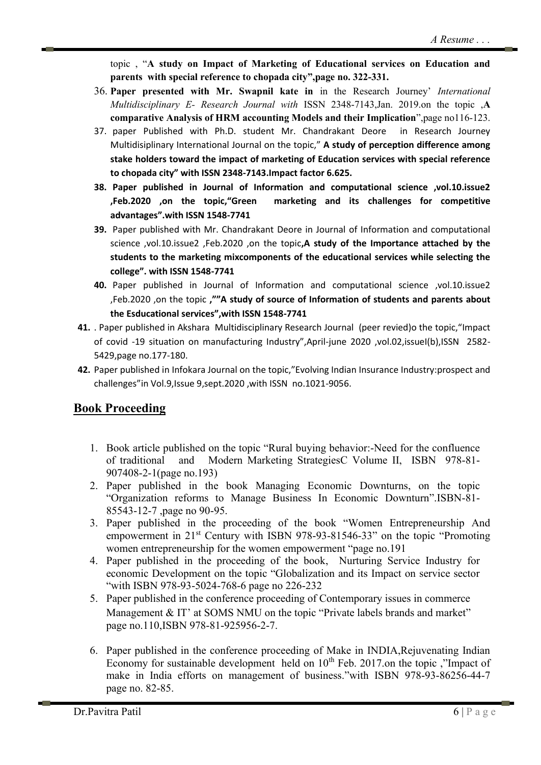topic , "**A study on Impact of Marketing of Educational services on Education and parents with special reference to chopada city",page no. 322-331.**

- 36. **Paper presented with Mr. Swapnil kate in** in the Research Journey' *International Multidisciplinary E- Research Journal with* ISSN 2348-7143,Jan. 2019.on the topic ,**A comparative Analysis of HRM accounting Models and their Implication**",page no116-123.
- 37. paper Published with Ph.D. student Mr. Chandrakant Deore in Research Journey Multidisiplinary International Journal on the topic," **A study of perception difference among stake holders toward the impact of marketing of Education services with special reference to chopada city" with ISSN 2348-7143.Impact factor 6.625.**
- **38. Paper published in Journal of Information and computational science ,vol.10.issue2 ,Feb.2020 ,on the topic,"Green marketing and its challenges for competitive advantages".with ISSN 1548-7741**
- **39.** Paper published with Mr. Chandrakant Deore in Journal of Information and computational science ,vol.10.issue2 ,Feb.2020 ,on the topic**,A study of the Importance attached by the students to the marketing mixcomponents of the educational services while selecting the college". with ISSN 1548-7741**
- **40.** Paper published in Journal of Information and computational science ,vol.10.issue2 ,Feb.2020 ,on the topic **,""A study of source of Information of students and parents about the Esducational services",with ISSN 1548-7741**
- **41.** . Paper published in Akshara Multidisciplinary Research Journal (peer revied)o the topic,"Impact of covid -19 situation on manufacturing Industry",April-june 2020 ,vol.02,issueI(b),ISSN 2582-5429,page no.177-180.
- **42.** Paper published in Infokara Journal on the topic,"Evolving Indian Insurance Industry:prospect and challenges"in Vol.9,Issue 9,sept.2020 ,with ISSN no.1021-9056.

# **Book Proceeding**

- 1. Book article published on the topic "Rural buying behavior:-Need for the confluence of traditional and Modern Marketing StrategiesC Volume II, ISBN 978-81- 907408-2-1(page no.193)
- 2. Paper published in the book Managing Economic Downturns, on the topic "Organization reforms to Manage Business In Economic Downturn".ISBN-81- 85543-12-7 ,page no 90-95.
- 3. Paper published in the proceeding of the book "Women Entrepreneurship And empowerment in 21<sup>st</sup> Century with ISBN 978-93-81546-33" on the topic "Promoting women entrepreneurship for the women empowerment "page no.191
- 4. Paper published in the proceeding of the book, Nurturing Service Industry for economic Development on the topic "Globalization and its Impact on service sector "with ISBN 978-93-5024-768-6 page no 226-232
- 5. Paper published in the conference proceeding of Contemporary issues in commerce Management & IT' at SOMS NMU on the topic "Private labels brands and market" page no.110,ISBN 978-81-925956-2-7.
- 6. Paper published in the conference proceeding of Make in INDIA,Rejuvenating Indian Economy for sustainable development held on  $10^{th}$  Feb. 2017.on the topic, "Impact of make in India efforts on management of business."with ISBN 978-93-86256-44-7 page no. 82-85.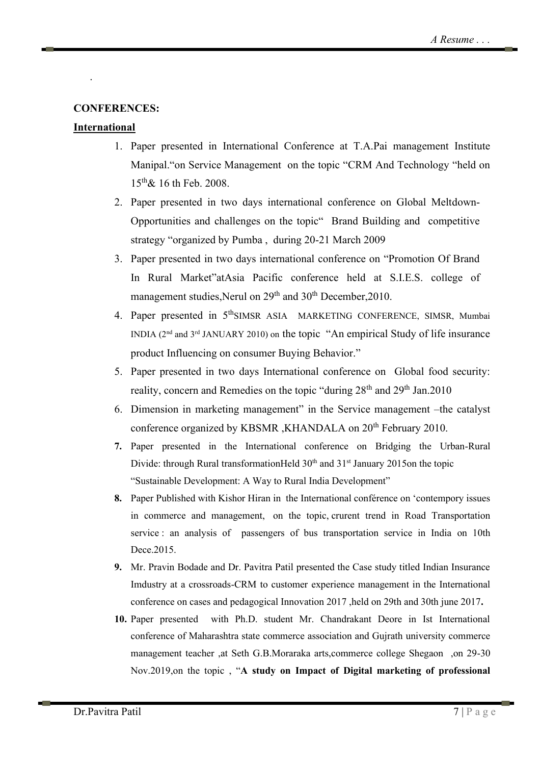#### **CONFERENCES:**

#### **International**

.

- 1. Paper presented in International Conference at T.A.Pai management Institute Manipal."on Service Management on the topic "CRM And Technology "held on  $15^{th}$ & 16 th Feb. 2008.
- 2. Paper presented in two days international conference on Global Meltdown-Opportunities and challenges on the topic" Brand Building and competitive strategy "organized by Pumba , during 20-21 March 2009
- 3. Paper presented in two days international conference on "Promotion Of Brand In Rural Market"atAsia Pacific conference held at S.I.E.S. college of management studies, Nerul on 29<sup>th</sup> and 30<sup>th</sup> December, 2010.
- 4. Paper presented in 5<sup>th</sup>SIMSR ASIA MARKETING CONFERENCE, SIMSR, Mumbai INDIA (2nd and 3rd JANUARY 2010) on the topic "An empirical Study of life insurance product Influencing on consumer Buying Behavior."
- 5. Paper presented in two days International conference on Global food security: reality, concern and Remedies on the topic "during  $28<sup>th</sup>$  and  $29<sup>th</sup>$  Jan.2010
- 6. Dimension in marketing management" in the Service management –the catalyst conference organized by KBSMR, KHANDALA on 20<sup>th</sup> February 2010.
- **7.** Paper presented in the International conference on Bridging the Urban-Rural Divide: through Rural transformationHeld  $30<sup>th</sup>$  and  $31<sup>st</sup>$  January 2015on the topic "Sustainable Development: A Way to Rural India Development"
- **8.** Paper Published with Kishor Hiran in the International conférence on 'contempory issues in commerce and management, on the topic, crurent trend in Road Transportation service : an analysis of passengers of bus transportation service in India on 10th Dece.2015.
- **9.** Mr. Pravin Bodade and Dr. Pavitra Patil presented the Case study titled Indian Insurance Imdustry at a crossroads-CRM to customer experience management in the International conference on cases and pedagogical Innovation 2017 ,held on 29th and 30th june 2017**.**
- **10.** Paper presented with Ph.D. student Mr. Chandrakant Deore in Ist International conference of Maharashtra state commerce association and Gujrath university commerce management teacher ,at Seth G.B.Moraraka arts,commerce college Shegaon ,on 29-30 Nov.2019,on the topic , "**A study on Impact of Digital marketing of professional**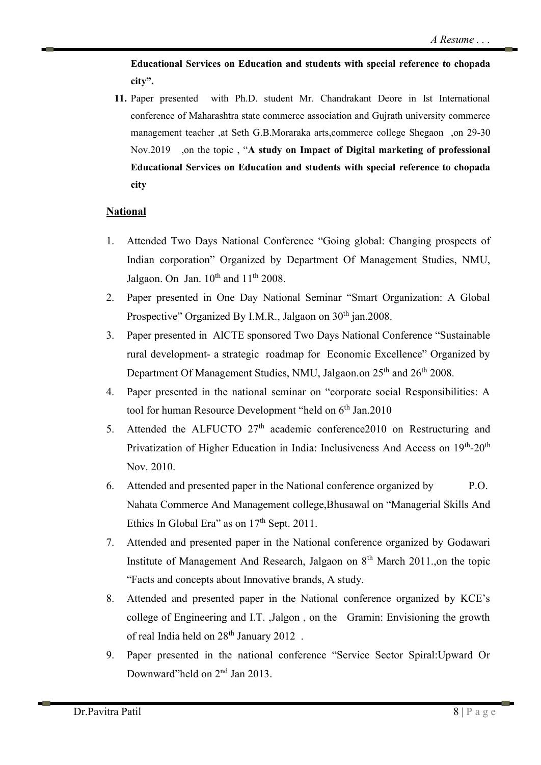**Educational Services on Education and students with special reference to chopada city".**

**11.** Paper presented with Ph.D. student Mr. Chandrakant Deore in Ist International conference of Maharashtra state commerce association and Gujrath university commerce management teacher ,at Seth G.B.Moraraka arts,commerce college Shegaon ,on 29-30 Nov.2019 ,on the topic , "**A study on Impact of Digital marketing of professional Educational Services on Education and students with special reference to chopada city**

#### **National**

- 1. Attended Two Days National Conference "Going global: Changing prospects of Indian corporation" Organized by Department Of Management Studies, NMU, Jalgaon. On Jan.  $10^{th}$  and  $11^{th}$  2008.
- 2. Paper presented in One Day National Seminar "Smart Organization: A Global Prospective" Organized By I.M.R., Jalgaon on 30<sup>th</sup> jan.2008.
- 3. Paper presented in AlCTE sponsored Two Days National Conference "Sustainable rural development- a strategic roadmap for Economic Excellence" Organized by Department Of Management Studies, NMU, Jalgaon.on 25<sup>th</sup> and 26<sup>th</sup> 2008.
- 4. Paper presented in the national seminar on "corporate social Responsibilities: A tool for human Resource Development "held on 6<sup>th</sup> Jan.2010
- 5. Attended the ALFUCTO  $27<sup>th</sup>$  academic conference 2010 on Restructuring and Privatization of Higher Education in India: Inclusiveness And Access on 19th-20<sup>th</sup> Nov. 2010.
- 6. Attended and presented paper in the National conference organized by P.O. Nahata Commerce And Management college,Bhusawal on "Managerial Skills And Ethics In Global Era" as on  $17<sup>th</sup>$  Sept. 2011.
- 7. Attended and presented paper in the National conference organized by Godawari Institute of Management And Research, Jalgaon on  $8<sup>th</sup>$  March 2011.,on the topic "Facts and concepts about Innovative brands, A study.
- 8. Attended and presented paper in the National conference organized by KCE's college of Engineering and I.T. ,Jalgon , on the Gramin: Envisioning the growth of real India held on 28<sup>th</sup> January 2012.
- 9. Paper presented in the national conference "Service Sector Spiral:Upward Or Downward"held on 2nd Jan 2013.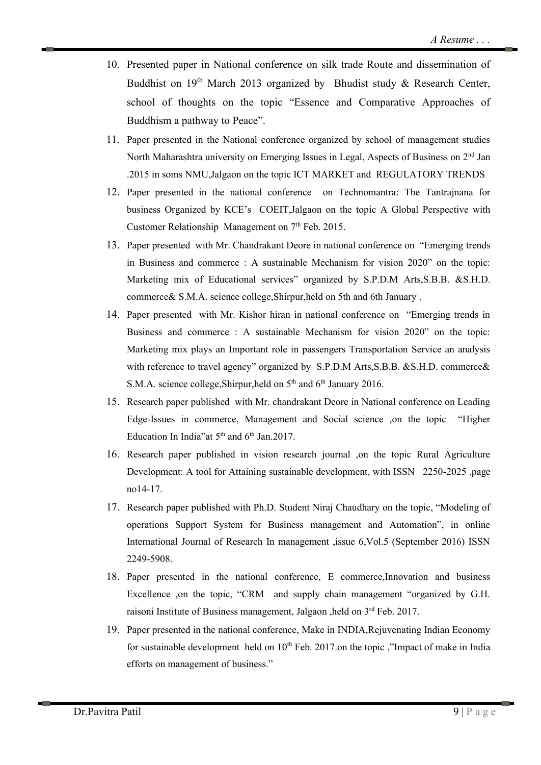- 10. Presented paper in National conference on silk trade Route and dissemination of Buddhist on  $19<sup>th</sup>$  March 2013 organized by Bhudist study & Research Center, school of thoughts on the topic "Essence and Comparative Approaches of Buddhism a pathway to Peace".
- 11. Paper presented in the National conference organized by school of management studies North Maharashtra university on Emerging Issues in Legal, Aspects of Business on 2<sup>nd</sup> Jan .2015 in soms NMU,Jalgaon on the topic ICT MARKET and REGULATORY TRENDS
- 12. Paper presented in the national conference on Technomantra: The Tantrajnana for business Organized by KCE's COEIT,Jalgaon on the topic A Global Perspective with Customer Relationship Management on  $7<sup>th</sup>$  Feb. 2015.
- 13. Paper presented with Mr. Chandrakant Deore in national conference on "Emerging trends in Business and commerce : A sustainable Mechanism for vision 2020" on the topic: Marketing mix of Educational services" organized by S.P.D.M Arts,S.B.B. &S.H.D. commerce& S.M.A. science college,Shirpur,held on 5th and 6th January .
- 14. Paper presented with Mr. Kishor hiran in national conference on "Emerging trends in Business and commerce : A sustainable Mechanism for vision 2020" on the topic: Marketing mix plays an Important role in passengers Transportation Service an analysis with reference to travel agency" organized by S.P.D.M Arts,S.B.B. &S.H.D. commerce& S.M.A. science college, Shirpur, held on  $5<sup>th</sup>$  and  $6<sup>th</sup>$  January 2016.
- 15. Research paper published with Mr. chandrakant Deore in National conference on Leading Edge-Issues in commerce, Management and Social science ,on the topic "Higher Education In India" at  $5<sup>th</sup>$  and  $6<sup>th</sup>$  Jan.2017.
- 16. Research paper published in vision research journal ,on the topic Rural Agriculture Development: A tool for Attaining sustainable development, with ISSN 2250-2025 ,page no14-17.
- 17. Research paper published with Ph.D. Student Niraj Chaudhary on the topic, "Modeling of operations Support System for Business management and Automation", in online International Journal of Research In management ,issue 6,Vol.5 (September 2016) ISSN 2249-5908.
- 18. Paper presented in the national conference, E commerce,Innovation and business Excellence ,on the topic, "CRM and supply chain management "organized by G.H. raisoni Institute of Business management, Jalgaon ,held on 3rd Feb. 2017.
- 19. Paper presented in the national conference, Make in INDIA,Rejuvenating Indian Economy for sustainable development held on  $10<sup>th</sup>$  Feb. 2017.on the topic, "Impact of make in India efforts on management of business."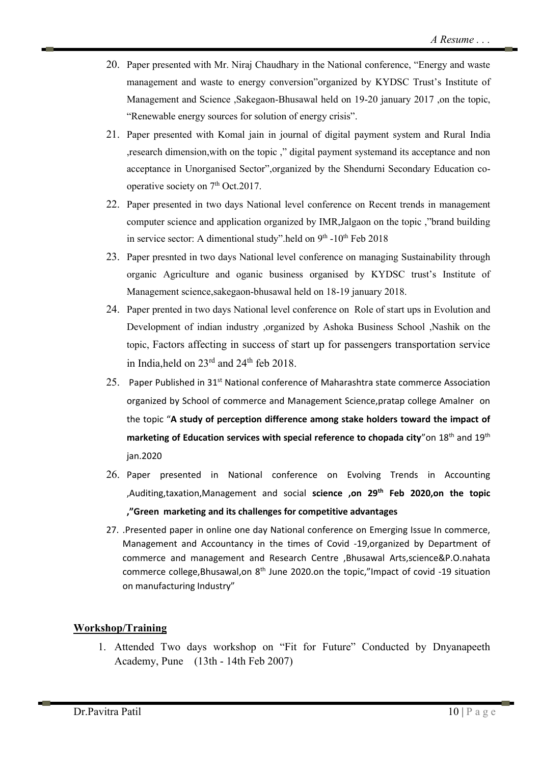- 20. Paper presented with Mr. Niraj Chaudhary in the National conference, "Energy and waste management and waste to energy conversion"organized by KYDSC Trust's Institute of Management and Science ,Sakegaon-Bhusawal held on 19-20 january 2017 ,on the topic, "Renewable energy sources for solution of energy crisis".
- 21. Paper presented with Komal jain in journal of digital payment system and Rural India ,research dimension,with on the topic ," digital payment systemand its acceptance and non acceptance in Unorganised Sector",organized by the Shendurni Secondary Education cooperative society on 7<sup>th</sup> Oct.2017.
- 22. Paper presented in two days National level conference on Recent trends in management computer science and application organized by IMR,Jalgaon on the topic ,"brand building in service sector: A dimentional study".held on  $9<sup>th</sup>$  -10<sup>th</sup> Feb 2018
- 23. Paper presnted in two days National level conference on managing Sustainability through organic Agriculture and oganic business organised by KYDSC trust's Institute of Management science,sakegaon-bhusawal held on 18-19 january 2018.
- 24. Paper prented in two days National level conference on Role of start ups in Evolution and Development of indian industry ,organized by Ashoka Business School ,Nashik on the topic, Factors affecting in success of start up for passengers transportation service in India, held on  $23^{\text{rd}}$  and  $24^{\text{th}}$  feb  $2018$ .
- 25. Paper Published in 31<sup>st</sup> National conference of Maharashtra state commerce Association organized by School of commerce and Management Science,pratap college Amalner on the topic "**A study of perception difference among stake holders toward the impact of**  marketing of Education services with special reference to chopada city<sup>"</sup>on 18<sup>th</sup> and 19<sup>th</sup> jan.2020
- 26. Paper presented in National conference on Evolving Trends in Accounting ,Auditing,taxation,Management and social **science ,on 29th Feb 2020,on the topic ,"Green marketing and its challenges for competitive advantages**
- 27. .Presented paper in online one day National conference on Emerging Issue In commerce, Management and Accountancy in the times of Covid -19,organized by Department of commerce and management and Research Centre ,Bhusawal Arts,science&P.O.nahata commerce college, Bhusawal, on  $8<sup>th</sup>$  June 2020.on the topic," Impact of covid -19 situation on manufacturing Industry"

### **Workshop/Training**

1. Attended Two days workshop on "Fit for Future" Conducted by Dnyanapeeth Academy, Pune (13th - 14th Feb 2007)